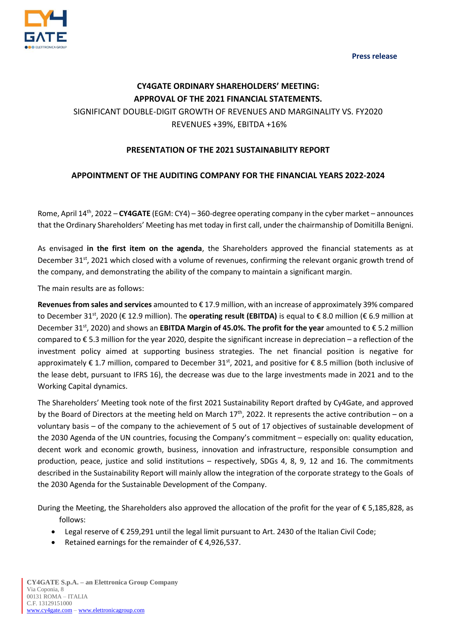**Press release**



## **CY4GATE ORDINARY SHAREHOLDERS' MEETING: APPROVAL OF THE 2021 FINANCIAL STATEMENTS.** SIGNIFICANT DOUBLE-DIGIT GROWTH OF REVENUES AND MARGINALITY VS. FY2020 REVENUES +39%, EBITDA +16%

## **PRESENTATION OF THE 2021 SUSTAINABILITY REPORT**

## **APPOINTMENT OF THE AUDITING COMPANY FOR THE FINANCIAL YEARS 2022-2024**

Rome, April 14th, 2022 – **CY4GATE** (EGM: CY4) – 360-degree operating company in the cyber market – announces that the Ordinary Shareholders' Meeting has met today in first call, under the chairmanship of Domitilla Benigni.

As envisaged **in the first item on the agenda**, the Shareholders approved the financial statements as at December 31<sup>st</sup>, 2021 which closed with a volume of revenues, confirming the relevant organic growth trend of the company, and demonstrating the ability of the company to maintain a significant margin.

The main results are as follows:

**Revenues from sales and services** amounted to € 17.9 million, with an increase of approximately 39% compared to December 31<sup>st</sup>, 2020 (€ 12.9 million). The **operating result (EBITDA)** is equal to € 8.0 million (€ 6.9 million at December 31<sup>st</sup>, 2020) and shows an **EBITDA Margin of 45.0%. The profit for the year** amounted to € 5.2 million compared to  $\epsilon$  5.3 million for the year 2020, despite the significant increase in depreciation – a reflection of the investment policy aimed at supporting business strategies. The net financial position is negative for approximately € 1.7 million, compared to December 31<sup>st</sup>, 2021, and positive for € 8.5 million (both inclusive of the lease debt, pursuant to IFRS 16), the decrease was due to the large investments made in 2021 and to the Working Capital dynamics.

The Shareholders' Meeting took note of the first 2021 Sustainability Report drafted by Cy4Gate, and approved by the Board of Directors at the meeting held on March  $17<sup>th</sup>$ , 2022. It represents the active contribution – on a voluntary basis – of the company to the achievement of 5 out of 17 objectives of sustainable development of the 2030 Agenda of the UN countries, focusing the Company's commitment – especially on: quality education, decent work and economic growth, business, innovation and infrastructure, responsible consumption and production, peace, justice and solid institutions – respectively, SDGs 4, 8, 9, 12 and 16. The commitments described in the Sustainability Report will mainly allow the integration of the corporate strategy to the Goals of the 2030 Agenda for the Sustainable Development of the Company.

During the Meeting, the Shareholders also approved the allocation of the profit for the year of € 5,185,828, as follows:

- Legal reserve of € 259,291 until the legal limit pursuant to Art. 2430 of the Italian Civil Code;
- Retained earnings for the remainder of € 4,926,537.